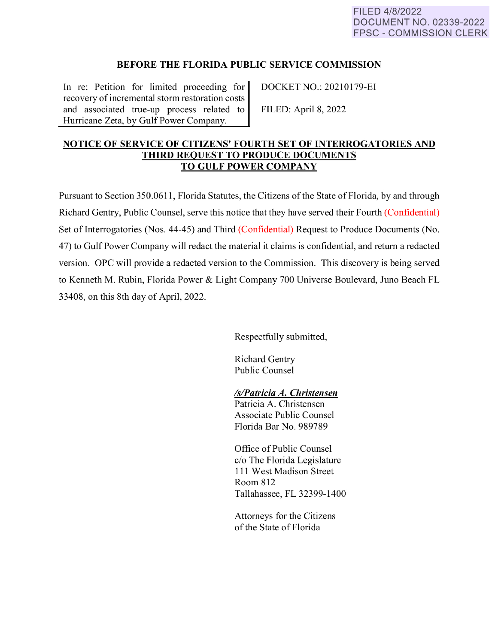## **BEFORE THE FLORIDA PUBLIC SERVICE COMMISSION**

In re: Petition for limited proceeding for DOCKET NO.: 20210179-EI recovery of incremental storm restoration costs and associated true-up process related to FILED: April 8, 2022 Hurricane Zeta, by Gulf Power Company.

# **NOTICE OF SERVICE OF CITIZENS' FOURTH SET OF INTERROGATORIES AND THIRD REQUEST TO PRODUCE DOCUMENTS TO GULF POWER COMPANY**

Pursuant to Section 350.0611 , Florida Statutes, the Citizens of the State of Florida, by and through Richard Gentry, Public Counsel, serve this notice that they have served their Fourth (Confidential) Set of Interrogatories (Nos. 44-45) and Third (Confidential) Request to Produce Documents (No. 4 7) to Gulf Power Company will redact the material it claims is confidential, and return a redacted version. OPC will provide a redacted version to the Commission. This discovery is being served to Kenneth M. Rubin, Florida Power & Light Company 700 Universe Boulevard, Juno Beach FL 33408, on this 8th day of April, 2022.

Respectfully submitted,

Richard Gentry Public Counsel

## *ls/Patricia A. Christensen*

Patricia A. Christensen Associate Public Counsel Florida Bar No. 989789

Office of Public Counsel c/o The Florida Legislature 111 West Madison Street Room 812 Tallahassee, FL 32399-1400

Attorneys for the Citizens of the State of Florida